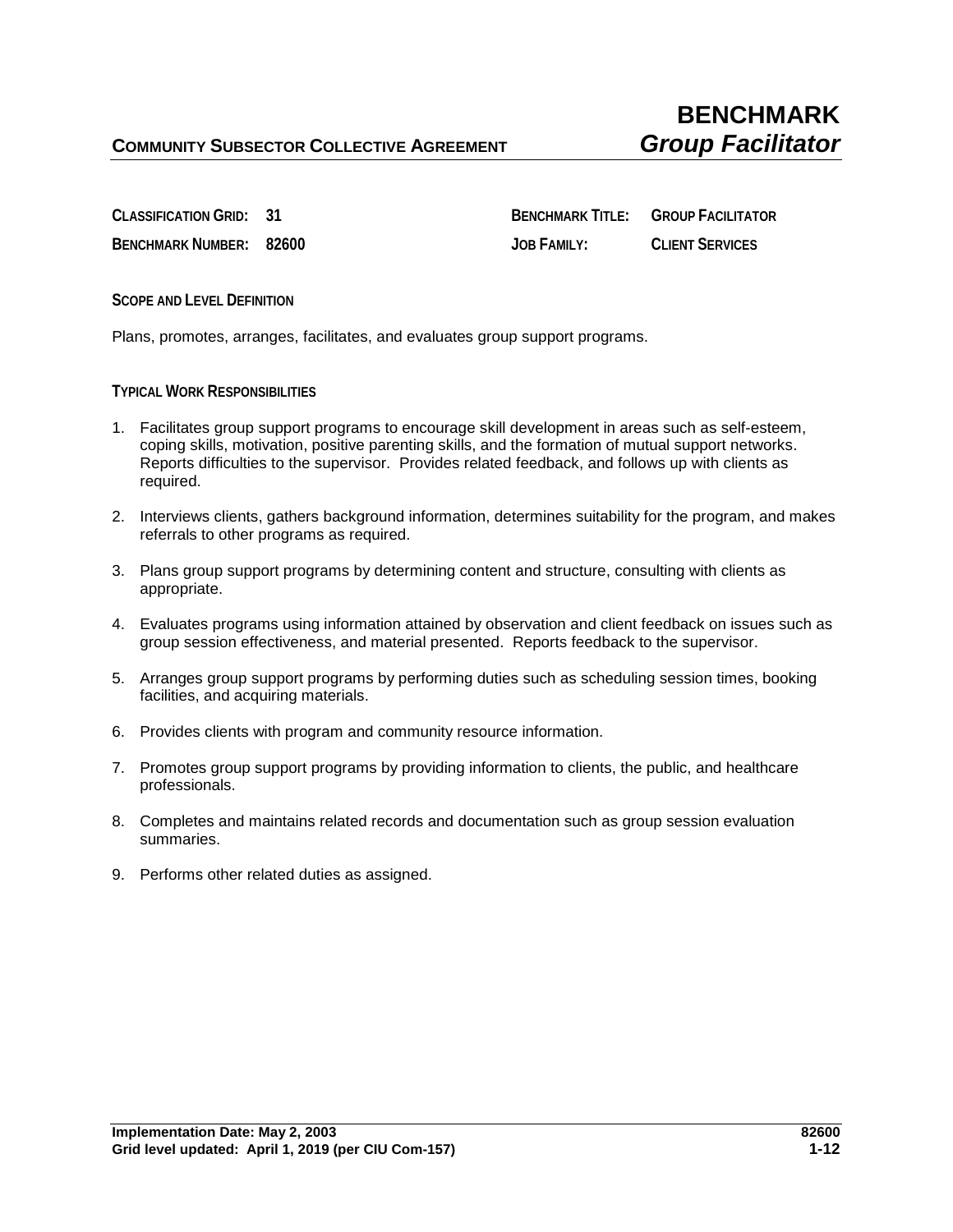**CLASSIFICATION GRID: 31 BENCHMARK TITLE: GROUP FACILITATOR BENCHMARK NUMBER: 82600 JOB FAMILY: CLIENT SERVICES**

**SCOPE AND LEVEL DEFINITION**

Plans, promotes, arranges, facilitates, and evaluates group support programs.

**TYPICAL WORK RESPONSIBILITIES**

- 1. Facilitates group support programs to encourage skill development in areas such as self-esteem, coping skills, motivation, positive parenting skills, and the formation of mutual support networks. Reports difficulties to the supervisor. Provides related feedback, and follows up with clients as required.
- 2. Interviews clients, gathers background information, determines suitability for the program, and makes referrals to other programs as required.
- 3. Plans group support programs by determining content and structure, consulting with clients as appropriate.
- 4. Evaluates programs using information attained by observation and client feedback on issues such as group session effectiveness, and material presented. Reports feedback to the supervisor.
- 5. Arranges group support programs by performing duties such as scheduling session times, booking facilities, and acquiring materials.
- 6. Provides clients with program and community resource information.
- 7. Promotes group support programs by providing information to clients, the public, and healthcare professionals.
- 8. Completes and maintains related records and documentation such as group session evaluation summaries.
- 9. Performs other related duties as assigned.